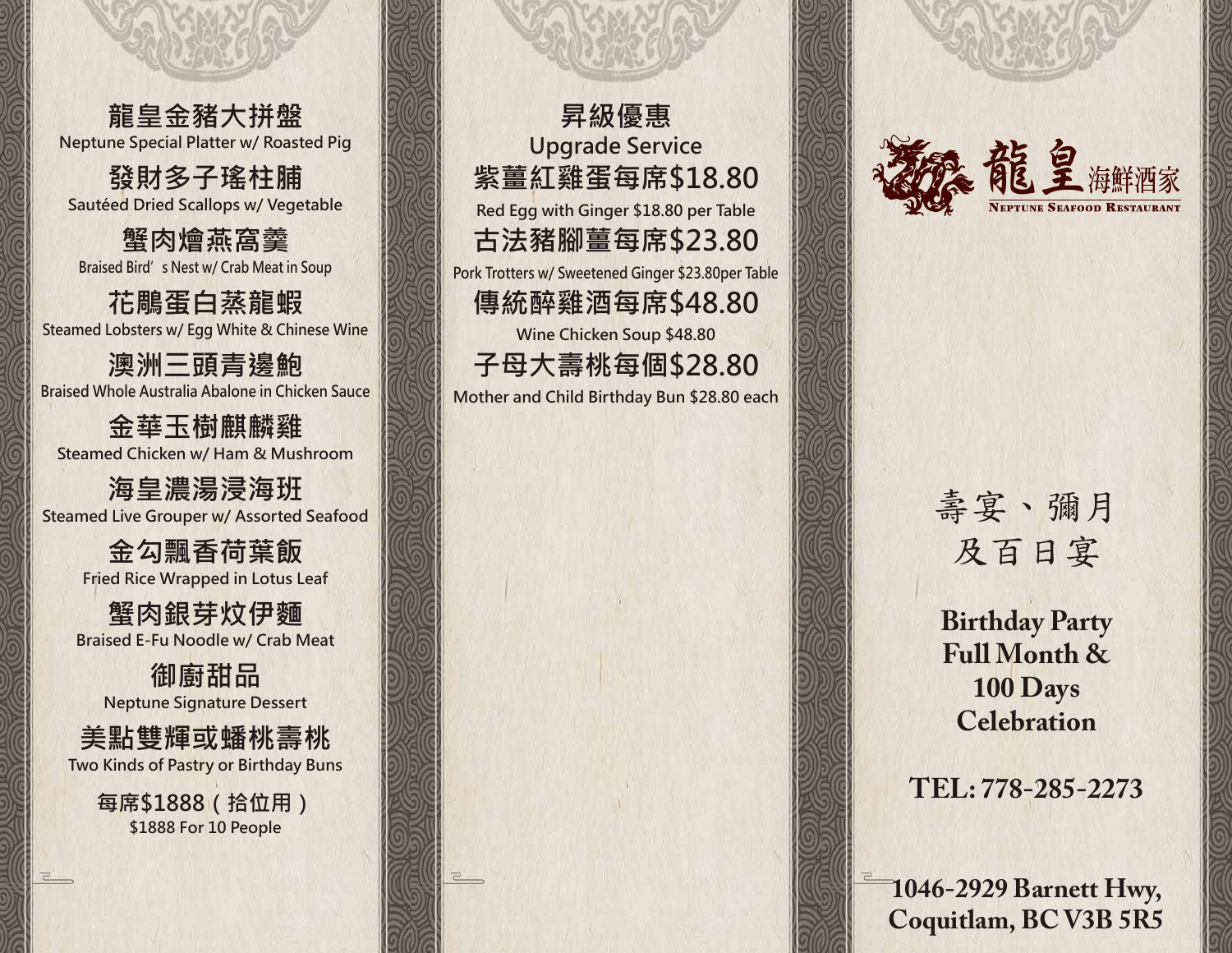**龍皇金豬大拼盤 Neptune Special Platter w/ Roasted Pig**

**發財多子瑤柱脯 Sautéed Dried Scallops w/ Vegetable**

**蟹肉燴燕窩羹 Braised Bird's Nest w/ Crab Meat in Soup**

**花鵰蛋白蒸龍蝦 Steamed Lobsters w/ Egg White & Chinese Wine**

**澳洲三頭青邊鮑 Braised Whole Australia Abalone in Chicken Sauce**

**金華玉樹麒麟雞 Steamed Chicken w/ Ham & Mushroom**

**海皇濃湯浸海班 Steamed Live Grouper w/ Assorted Seafood**

> **金勾飄香荷葉飯 Fried Rice Wrapped in Lotus Leaf**

**蟹肉銀芽炆伊麵 Braised E-Fu Noodle w/ Crab Meat**

**御廚甜品 Neptune Signature Dessert**

**美點雙輝或蟠桃壽桃 Two Kinds of Pastry or Birthday Buns**

> **每席\$1888(拾位用) \$1888 For 10 People**

ㄹ...

**昇級優惠 紫薑紅雞蛋每席\$18.80 古法豬腳薑每席\$23.80 傳統醉雞酒每席\$48.80 子母大壽桃每個\$28.80 Upgrade Service Red Egg with Ginger \$18.80 per Table Pork Trotters w/ Sweetened Ginger \$23.80per Table Wine Chicken Soup \$48.80 Mother and Child Birthday Bun \$28.80 each**



## 壽宴、彌月 及百日宴

**Birthday Party Full Month & 100 Days Celebration**

## **TEL: 778-285-2273**

**1046-2929 Barnett Hwy, Coquitlam, BC V3B 5R5**